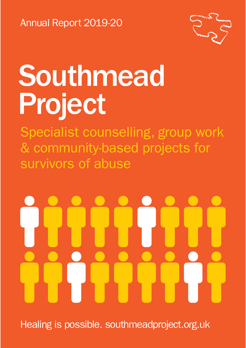Annual Report 2019-20



# Southmead Project

Specialist counselling, group work & community-based projects for survivors of abuse

Healing is possible. southmeadproject.org.uk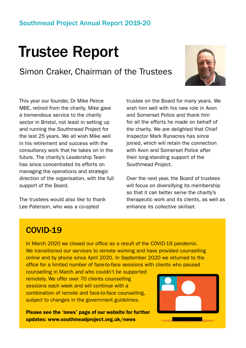### Trustee Report

Simon Craker, Chairman of the Trustees



This year our founder, Dr Mike Peirce MBE, retired from the charity. Mike gave a tremendous service to the charity sector in Bristol, not least in setting up and running the Southmead Project for the last 25 years. We all wish Mike well in his retirement and success with the consultancy work that he takes on in the future. The charity's Leadership Team has since concentrated its efforts on managing the operations and strategic direction of the organisation, with the full support of the Board.

The trustees would also like to thank Lee Paterson, who was a co-opted

trustee on the Board for many years. We wish him well with his new role in Avon and Somerset Police and thank him for all the efforts he made on behalf of the charity. We are delighted that Chief Inspector Mark Runacres has since joined, which will retain the connection with Avon and Somerset Police after their long-standing support of the Southmead Project.

Over the next year, the Board of trustees will focus on diversifying its membership so that it can better serve the charity's therapeutic work and its clients, as well as enhance its collective skillset.

#### COVID-19

In March 2020 we closed our office as a result of the COVID-19 pandemic. We transitioned our services to remote working and have provided counselling online and by phone since April 2020. In September 2020 we returned to the office for a limited number of face-to-face sessions with clients who paused

counselling in March and who couldn't be supported remotely. We offer over 70 clients counselling sessions each week and will continue with a combination of remote and face-to-face counselling, subject to changes in the government guidelines.

Please see the 'news' page of our website for further updates: www.southmeadproject.org.uk/news

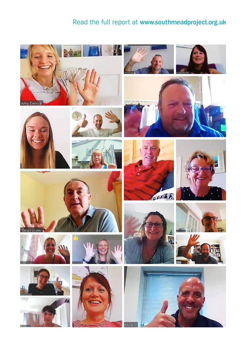#### Read the full report at www.southmeadproject.org.uk

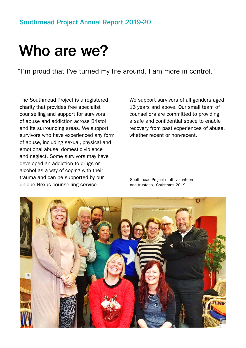#### Southmead Project Annual Report 2019-20

### Who are we?

"I'm proud that I've turned my life around. I am more in control."

The Southmead Project is a registered charity that provides free specialist counselling and support for survivors of abuse and addiction across Bristol and its surrounding areas. We support survivors who have experienced any form of abuse, including sexual, physical and emotional abuse, domestic violence and neglect. Some survivors may have developed an addiction to drugs or alcohol as a way of coping with their trauma and can be supported by our unique Nexus counselling service.

We support survivors of all genders aged 16 years and above. Our small team of counsellors are committed to providing a safe and confidential space to enable recovery from past experiences of abuse, whether recent or non-recent.

Southmead Project staff, volunteers and trustees - Christmas 2019

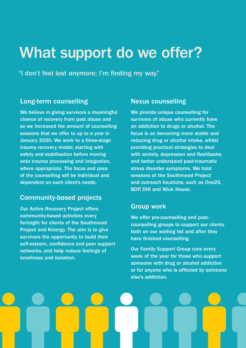### What support do we offer?

"I don't feel lost anymore; I'm finding my way."

#### Long-term counselling

We believe in giving survivors a meaningful chance of recovery from past abuse and so we increased the amount of counselling sessions that we offer to up to a year in January 2020. We work to a three-stage trauma recovery model, starting with safety and stabilisation before moving onto trauma processing and integration, where appropriate. The focus and pace of the counselling will be individual and dependent on each client's needs.

#### Community-based projects

Our Active Recovery Project offers community-based activities every fortnight for clients of the Southmead Project and Kinergy. The aim is to give survivors the opportunity to build their self-esteem, confidence and peer support networks, and help reduce feelings of loneliness and isolation.

#### Nexus counselling

We provide unique counselling for survivors of abuse who currently have an addiction to drugs or alcohol. The focus is on becoming more stable and reducing drug or alcohol intake, whilst providing practical strategies to deal with anxiety, depression and flashbacks and better understand post-traumatic stress disorder symptoms. We hold sessions at the Southmead Project and outreach locations, such as One25, BDP, DHI and Wick House.

#### Group work

We offer pre-counselling and postcounselling groups to support our clients both on our waiting list and after they have finished counselling.

Our Family Support Group runs every week of the year for those who support someone with drug or alcohol addiction or for anyone who is affected by someone else's addiction.

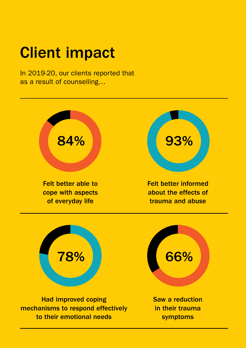## Client impact

In 2019-20, our clients reported that as a result of counselling…



Had improved coping mechanisms to respond effectively to their emotional needs

Saw a reduction in their trauma symptoms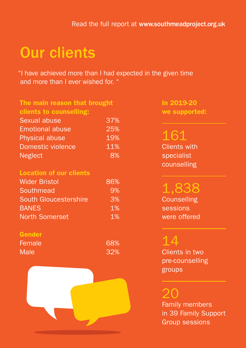### Our clients

"I have achieved more than I had expected in the given time and more than I ever wished for. "

| The main reason that brought |     |
|------------------------------|-----|
| clients to counselling:      |     |
| Sexual abuse                 | 37% |
| <b>Emotional abuse</b>       | 25% |
| <b>Physical abuse</b>        | 19% |
| <b>Domestic violence</b>     | 11% |
| <b>Neglect</b>               | 8%  |
|                              |     |

#### Location of our clients

| <b>Wider Bristol</b>         | 86% |
|------------------------------|-----|
| Southmead                    | 9%  |
| <b>South Gloucestershire</b> | 3%  |
| <b>BANES</b>                 | 1%  |
| <b>North Somerset</b>        | 1%  |

#### Gender

| Female      | 68% |
|-------------|-----|
| <b>Male</b> | 32% |



In 2019-20 we supported:

### 161

Clients with specialist counselling

### 1,838

**Counselling** sessions were offered

### 14

Clients in two pre-counselling groups

20

Family members in 39 Family Support Group sessions